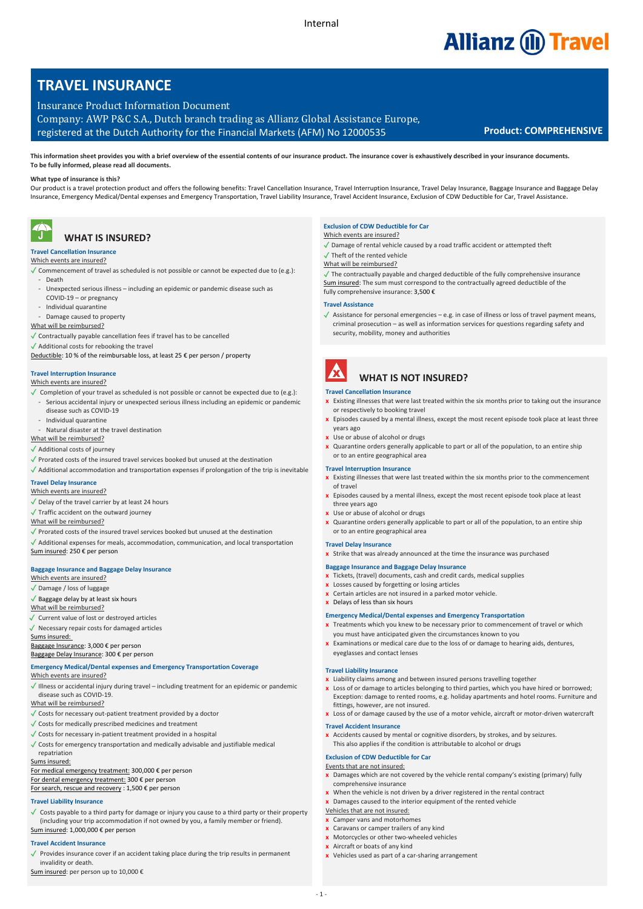# **Allianz (ii) Travel**

# **TRAVEL INSURANCE**

Insurance Product Information Document Company: AWP P&C S.A., Dutch branch trading as Allianz Global Assistance Europe, registered at the Dutch Authority for the Financial Markets (AFM) No 12000535 **Product: COMPREHENSIVE**

# **What type of insurance is this?**

Our product is a travel protection product and offers the following benefits: Travel Cancellation Insurance, Travel Interruption Insurance, Travel Delay Insurance, Baggage Insurance and Baggage Delay Insurance, Emergency Medical/Dental expenses and Emergency Transportation, Travel Liability Insurance, Travel Accident Insurance, Exclusion of CDW Deductible for Car, Travel Assistance**.**

### T  **WHAT IS INSURED?**

# **Travel Cancellation Insurance**

- Which events are insured?
- ✓ Commencement of travel as scheduled is not possible or cannot be expected due to (e.g.): - Death
- Unexpected serious illness including an epidemic or pandemic disease such as COVID-19 – or pregnancy
- Individual quarantine
- Damage caused to property
- What will be reimbursed?
- ✓ Contractually payable cancellation fees if travel has to be cancelled
- ✓ Additional costs for rebooking the travel
- Deductible: 10 % of the reimbursable loss, at least 25 € per person / property

# **Travel Interruption Insurance**

### Which events are insured?

- 
- ✓ Completion of your travel as scheduled is not possible or cannot be expected due to (e.g.): - Serious accidental injury or unexpected serious illness including an epidemic or pandemic disease such as COVID-19
- Individual quarantine
- Natural disaster at the travel destination

### What will be reimbursed?

- ✓ Additional costs of journey
- ✓ Prorated costs of the insured travel services booked but unused at the destination
- $\sqrt{\frac{1}{2}}$  Additional accommodation and transportation expenses if prolongation of the trip is inevitable

### **Travel Delay Insurance** Which events are insured?

- ✓ Delay of the travel carrier by at least 24 hours
- ✓ Traffic accident on the outward journey
- What will be reimbursed?
- ✓ Prorated costs of the insured travel services booked but unused at the destination
- ✓ Additional expenses for meals, accommodation, communication, and local transportation Sum insured: 250 € per person

### **Baggage Insurance and Baggage Delay Insurance**

Which events are insured? ✓ Damage / loss of luggage

- ✓ Baggage delay by at least six hours What will be reimbursed?
- 
- ✓ Current value of lost or destroyed articles ✓ Necessary repair costs for damaged articles
- Sums insured:

Baggage Insurance: 3,000 € per person Baggage Delay Insurance: 300 € per person

# **Emergency Medical/Dental expenses and Emergency Transportation Coverage**

# Which events are insured?

✓ Illness or accidental injury during travel – including treatment for an epidemic or pandemic disease such as COVID-19.

# What will be reimbursed?

- ✓ Costs for necessary out-patient treatment provided by a doctor
- ✓ Costs for medically prescribed medicines and treatment
- ✓ Costs for necessary in-patient treatment provided in a hospital
- ✓ Costs for emergency transportation and medically advisable and justifiable medical repatriation

### Sums insured:

- For medical emergency treatment: 300,000 € per person For dental emergency treatment: 300 € per person
- For search, rescue and recovery : 1,500 € per person
- 

# **Travel Liability Insurance**

Costs payable to a third party for damage or injury you cause to a third party or their property (including your trip accommodation if not owned by you, a family member or friend). Sum insured: 1,000,000 € per person

# **Travel Accident Insurance**

- 
- ✓ Provides insurance cover if an accident taking place during the trip results in permanent invalidity or death.
- Sum insured: per person up to 10,000 €

# **Exclusion of CDW Deductible for Car**

- Which events are insured? ✓ Damage of rental vehicle caused by a road traffic accident or attempted theft
- ✓ Theft of the rented vehicle
- What will be reimbursed?
- $\sqrt{\ }$  The contractually payable and charged deductible of the fully comprehensive insurance Sum insured: The sum must correspond to the contractually agreed deductible of the fully comprehensive insurance: 3,500 €

### **Travel Assistance**

✓ Assistance for personal emergencies – e.g. in case of illness or loss of travel payment means, criminal prosecution – as well as information services for questions regarding safety and security, mobility, money and authorities



# **WHAT IS NOT INSURED?**

# **Travel Cancellation Insurance**

- **x** Existing illnesses that were last treated within the six months prior to taking out the insurance or respectively to booking travel
- **x** Episodes caused by a mental illness, except the most recent episode took place at least three years ago
- **x** Use or abuse of alcohol or drugs
- **x** Quarantine orders generally applicable to part or all of the population, to an entire ship or to an entire geographical area

### **Travel Interruption Insurance**

- **x** Existing illnesses that were last treated within the six months prior to the commencement of travel
- **x** Episodes caused by a mental illness, except the most recent episode took place at least three years ago
- **x** Use or abuse of alcohol or drugs
- **x** Quarantine orders generally applicable to part or all of the population, to an entire ship or to an entire geographical area

### **Travel Delay Insurance**

- **x** Strike that was already announced at the time the insurance was purchased
- **Baggage Insurance and Baggage Delay Insurance**
- **x** Tickets, (travel) documents, cash and credit cards, medical supplies
- **x** Losses caused by forgetting or losing articles
- **x** Certain articles are not insured in a parked motor vehicle.
- **x** Delays of less than six hours

# **Emergency Medical/Dental expenses and Emergency Transportation**

- **x** Treatments which you knew to be necessary prior to commencement of travel or which you must have anticipated given the circumstances known to you
- **x** Examinations or medical care due to the loss of or damage to hearing aids, dentures, eyeglasses and contact lenses

## **Travel Liability Insurance**

- **x** Liability claims among and between insured persons travelling together
- **x** Loss of or damage to articles belonging to third parties, which you have hired or borrowed; Exception: damage to rented rooms, e.g. holiday apartments and hotel rooms. Furniture and fittings, however, are not insured.
- **x** Loss of or damage caused by the use of a motor vehicle, aircraft or motor-driven watercraft **Travel Accident Insurance**

**x** Accidents caused by mental or cognitive disorders, by strokes, and by seizures. This also applies if the condition is attributable to alcohol or drugs

# **Exclusion of CDW Deductible for Car**

Vehicles that are not insured: **x** Camper vans and motorhomes **x** Caravans or camper trailers of any kind **x** Motorcycles or other two-wheeled vehicles **x** Aircraft or boats of any kind

 $-1$   $-$ 

- Events that are not insured:
- **x** Damages which are not covered by the vehicle rental company's existing (primary) fully comprehensive insurance
- **x** When the vehicle is not driven by a driver registered in the rental contract **x** Damages caused to the interior equipment of the rented vehicle

**x** Vehicles used as part of a car-sharing arrangement